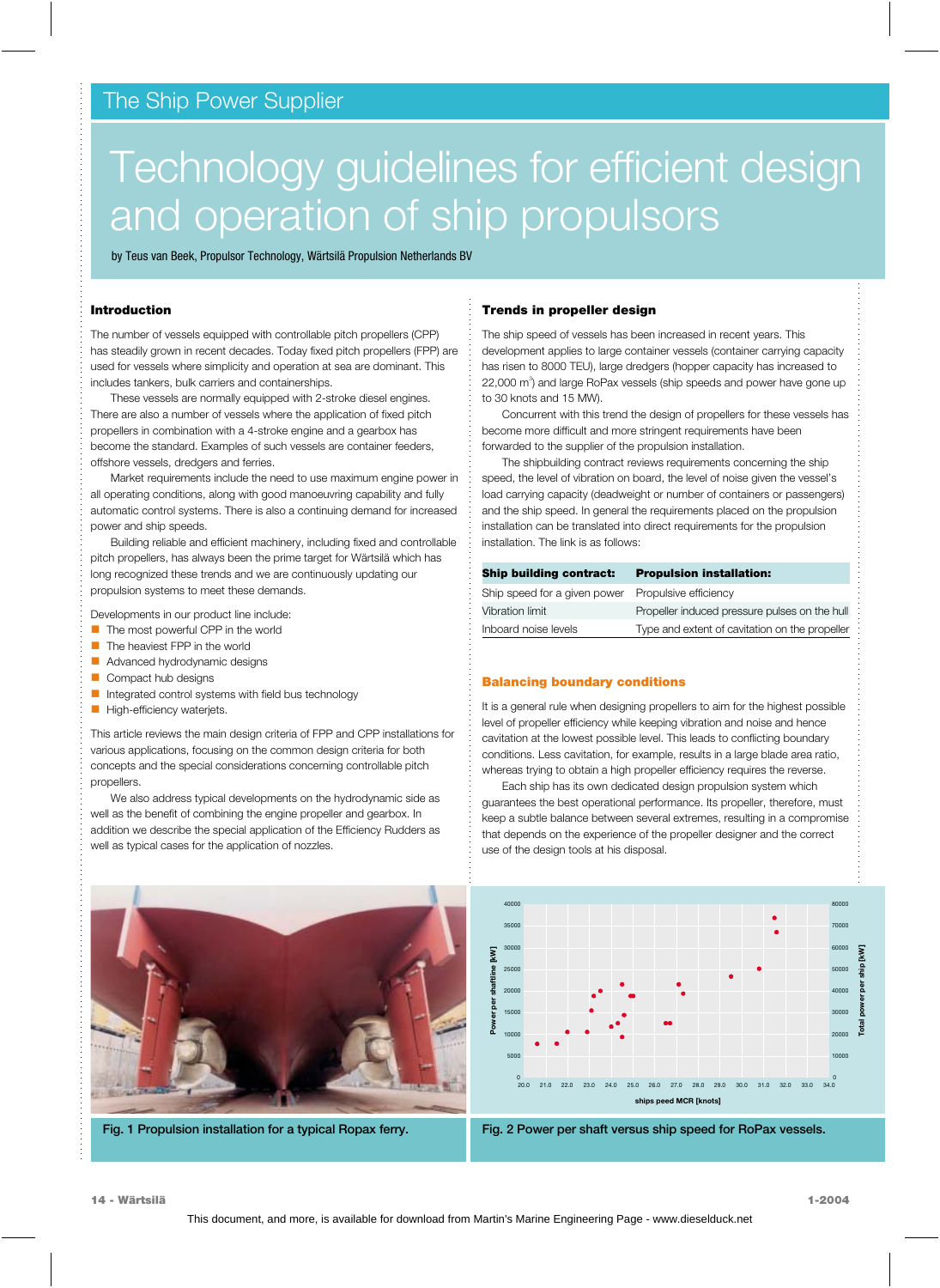# The Ship Power Supplier

# Technology guidelines for efficient design and operation of ship propulsors

by Teus van Beek, Propulsor Technology, Wärtsilä Propulsion Netherlands BV

#### **Introduction**

The number of vessels equipped with controllable pitch propellers (CPP) has steadily grown in recent decades. Today fixed pitch propellers (FPP) are used for vessels where simplicity and operation at sea are dominant. This includes tankers, bulk carriers and containerships.

These vessels are normally equipped with 2-stroke diesel engines. There are also a number of vessels where the application of fixed pitch propellers in combination with a 4-stroke engine and a gearbox has become the standard. Examples of such vessels are container feeders, offshore vessels, dredgers and ferries.

Market requirements include the need to use maximum engine power in all operating conditions, along with good manoeuvring capability and fully automatic control systems. There is also a continuing demand for increased power and ship speeds.

Building reliable and efficient machinery, including fixed and controllable pitch propellers, has always been the prime target for Wärtsilä which has long recognized these trends and we are continuously updating our propulsion systems to meet these demands.

Developments in our product line include:

- п The most powerful CPP in the world
- É. The heaviest FPP in the world
- п Advanced hydrodynamic designs
- п Compact hub designs
- п Integrated control systems with field bus technology
- $\overline{\phantom{a}}$ High-efficiency waterjets.

This article reviews the main design criteria of FPP and CPP installations for various applications, focusing on the common design criteria for both concepts and the special considerations concerning controllable pitch propellers.

We also address typical developments on the hydrodynamic side as well as the benefit of combining the engine propeller and gearbox. In addition we describe the special application of the Efficiency Rudders as well as typical cases for the application of nozzles.



The ship speed of vessels has been increased in recent years. This development applies to large container vessels (container carrying capacity has risen to 8000 TEU), large dredgers (hopper capacity has increased to 22,000 m<sup>3</sup>) and large RoPax vessels (ship speeds and power have gone up to 30 knots and 15 MW).

Concurrent with this trend the design of propellers for these vessels has become more difficult and more stringent requirements have been forwarded to the supplier of the propulsion installation.

The shipbuilding contract reviews requirements concerning the ship speed, the level of vibration on board, the level of noise given the vessel's load carrying capacity (deadweight or number of containers or passengers) and the ship speed. In general the requirements placed on the propulsion installation can be translated into direct requirements for the propulsion installation. The link is as follows:

| <b>Ship building contract:</b>                     | <b>Propulsion installation:</b>                |
|----------------------------------------------------|------------------------------------------------|
| Ship speed for a given power Propulsive efficiency |                                                |
| Vibration limit                                    | Propeller induced pressure pulses on the hull  |
| Inboard noise levels                               | Type and extent of cavitation on the propeller |

#### **Balancing boundary conditions**

It is a general rule when designing propellers to aim for the highest possible level of propeller efficiency while keeping vibration and noise and hence cavitation at the lowest possible level. This leads to conflicting boundary conditions. Less cavitation, for example, results in a large blade area ratio, whereas trying to obtain a high propeller efficiency requires the reverse.

Each ship has its own dedicated design propulsion system which guarantees the best operational performance. Its propeller, therefore, must keep a subtle balance between several extremes, resulting in a compromise that depends on the experience of the propeller designer and the correct use of the design tools at his disposal.



**Fig. 2 Power per shaft versus ship speed for RoPax vessels.**



**Fig. 1 Propulsion installation for a typical Ropax ferry.**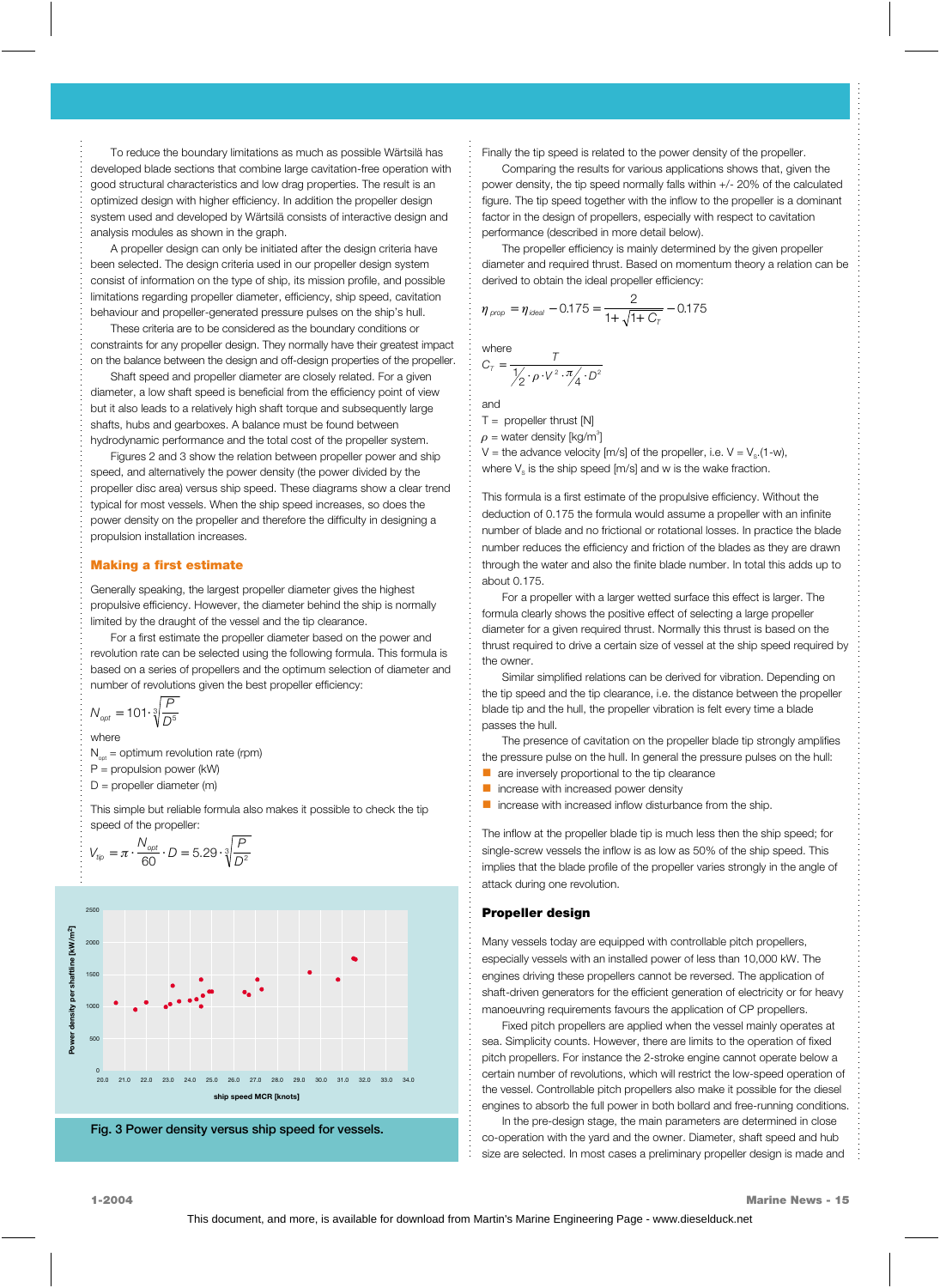To reduce the boundary limitations as much as possible Wärtsilä has developed blade sections that combine large cavitation-free operation with good structural characteristics and low drag properties. The result is an optimized design with higher efficiency. In addition the propeller design system used and developed by Wärtsilä consists of interactive design and analysis modules as shown in the graph.

A propeller design can only be initiated after the design criteria have been selected. The design criteria used in our propeller design system consist of information on the type of ship, its mission profile, and possible limitations regarding propeller diameter, efficiency, ship speed, cavitation behaviour and propeller-generated pressure pulses on the ship's hull.

These criteria are to be considered as the boundary conditions or constraints for any propeller design. They normally have their greatest impact on the balance between the design and off-design properties of the propeller.

Shaft speed and propeller diameter are closely related. For a given diameter, a low shaft speed is beneficial from the efficiency point of view but it also leads to a relatively high shaft torque and subsequently large shafts, hubs and gearboxes. A balance must be found between hydrodynamic performance and the total cost of the propeller system.

Figures 2 and 3 show the relation between propeller power and ship speed, and alternatively the power density (the power divided by the propeller disc area) versus ship speed. These diagrams show a clear trend typical for most vessels. When the ship speed increases, so does the power density on the propeller and therefore the difficulty in designing a propulsion installation increases.

#### **Making a first estimate**

Generally speaking, the largest propeller diameter gives the highest propulsive efficiency. However, the diameter behind the ship is normally limited by the draught of the vessel and the tip clearance.

For a first estimate the propeller diameter based on the power and revolution rate can be selected using the following formula. This formula is based on a series of propellers and the optimum selection of diameter and number of revolutions given the best propeller efficiency:

$$
N_{opt} = 101 \cdot \sqrt[3]{\frac{P}{D^5}}
$$

where

- $N_{\text{est}}$  = optimum revolution rate (rpm)
- P = propulsion power (kW)
- D = propeller diameter (m)

This simple but reliable formula also makes it possible to check the tip speed of the propeller:

$$
V_{\text{tip}} = \pi \cdot \frac{N_{\text{opt}}}{60} \cdot D = 5.29 \cdot \sqrt[3]{\frac{P}{D^2}}
$$



**Fig. 3 Power density versus ship speed for vessels.**

Finally the tip speed is related to the power density of the propeller.

Comparing the results for various applications shows that, given the power density, the tip speed normally falls within +/- 20% of the calculated figure. The tip speed together with the inflow to the propeller is a dominant factor in the design of propellers, especially with respect to cavitation performance (described in more detail below).

The propeller efficiency is mainly determined by the given propeller diameter and required thrust. Based on momentum theory a relation can be derived to obtain the ideal propeller efficiency:

$$
\eta_{\text{prop}} = \eta_{\text{ideal}} - 0.175 = \frac{2}{1 + \sqrt{1 + C_{\tau}}} - 0.175
$$

where  

$$
C_{T} = \frac{T}{\frac{1}{2} \cdot \rho \cdot V^{2} \cdot \pi / 4 \cdot D^{2}}
$$

and

 $T =$  propeller thrust  $[N]$ 

 $\rho$  = water density [kg/m $^{\circ}]$ 

V = the advance velocity  $[m/s]$  of the propeller, i.e.  $V = V<sub>s</sub>(1-w)$ , where  $V_s$  is the ship speed [m/s] and w is the wake fraction.

This formula is a first estimate of the propulsive efficiency. Without the deduction of 0.175 the formula would assume a propeller with an infinite number of blade and no frictional or rotational losses. In practice the blade number reduces the efficiency and friction of the blades as they are drawn through the water and also the finite blade number. In total this adds up to about 0.175.

For a propeller with a larger wetted surface this effect is larger. The formula clearly shows the positive effect of selecting a large propeller diameter for a given required thrust. Normally this thrust is based on the thrust required to drive a certain size of vessel at the ship speed required by the owner.

Similar simplified relations can be derived for vibration. Depending on the tip speed and the tip clearance, i.e. the distance between the propeller blade tip and the hull, the propeller vibration is felt every time a blade passes the hull.

The presence of cavitation on the propeller blade tip strongly amplifies the pressure pulse on the hull. In general the pressure pulses on the hull:

- **a** are inversely proportional to the tip clearance
- i. increase with increased power density
- i. increase with increased inflow disturbance from the ship.

The inflow at the propeller blade tip is much less then the ship speed; for single-screw vessels the inflow is as low as 50% of the ship speed. This implies that the blade profile of the propeller varies strongly in the angle of attack during one revolution.

#### **Propeller design**

Many vessels today are equipped with controllable pitch propellers, especially vessels with an installed power of less than 10,000 kW. The engines driving these propellers cannot be reversed. The application of shaft-driven generators for the efficient generation of electricity or for heavy manoeuvring requirements favours the application of CP propellers.

Fixed pitch propellers are applied when the vessel mainly operates at sea. Simplicity counts. However, there are limits to the operation of fixed pitch propellers. For instance the 2-stroke engine cannot operate below a certain number of revolutions, which will restrict the low-speed operation of the vessel. Controllable pitch propellers also make it possible for the diesel engines to absorb the full power in both bollard and free-running conditions.

In the pre-design stage, the main parameters are determined in close co-operation with the yard and the owner. Diameter, shaft speed and hub size are selected. In most cases a preliminary propeller design is made and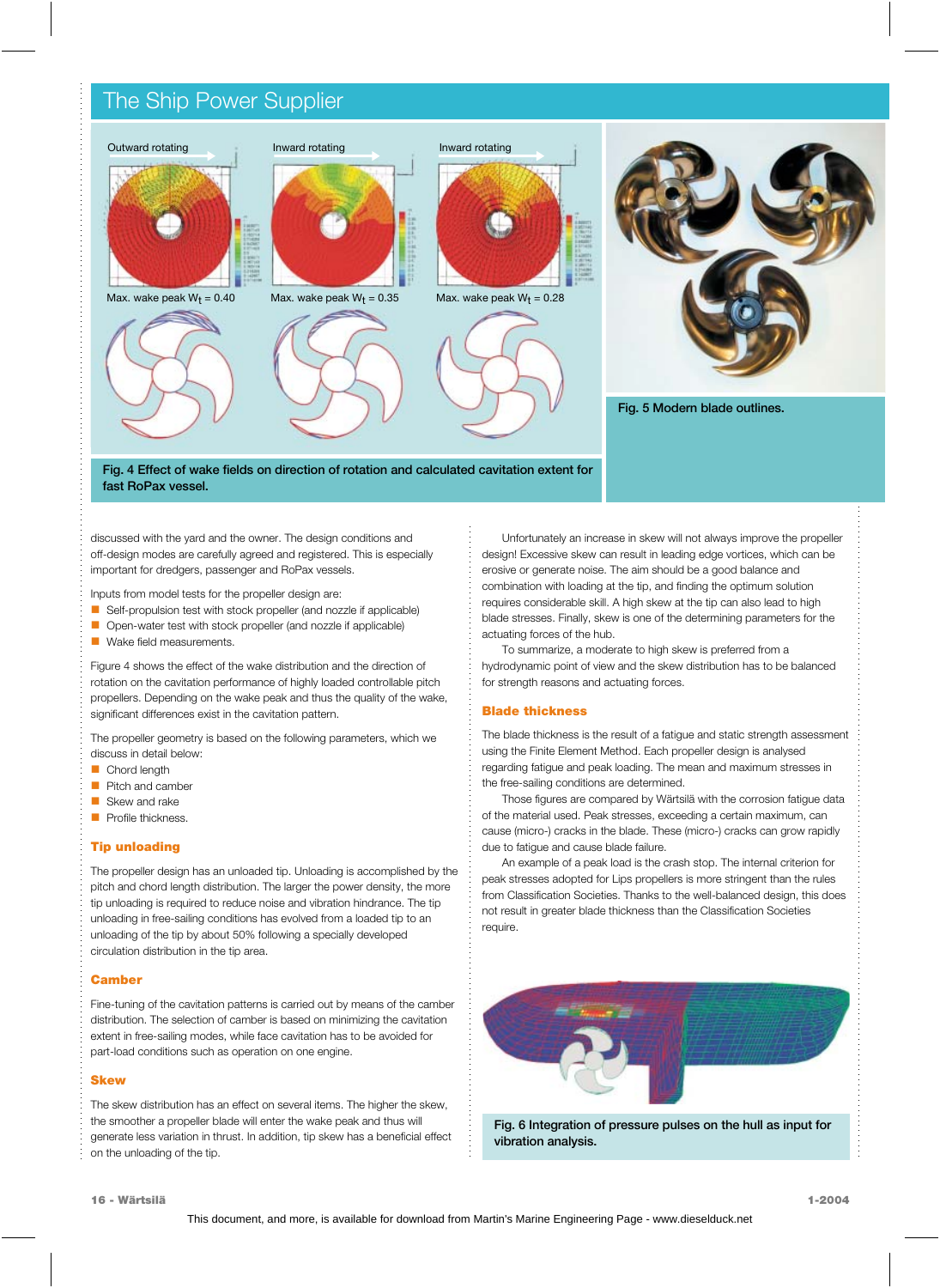# The Ship Power Supplier



**fast RoPax vessel.**

discussed with the yard and the owner. The design conditions and off-design modes are carefully agreed and registered. This is especially important for dredgers, passenger and RoPax vessels.

Inputs from model tests for the propeller design are:

- m, Self-propulsion test with stock propeller (and nozzle if applicable)
- $\blacksquare$ Open-water test with stock propeller (and nozzle if applicable)
- $\blacksquare$ Wake field measurements.

Figure 4 shows the effect of the wake distribution and the direction of rotation on the cavitation performance of highly loaded controllable pitch propellers. Depending on the wake peak and thus the quality of the wake, significant differences exist in the cavitation pattern.

The propeller geometry is based on the following parameters, which we discuss in detail below:

- П Chord length
- п Pitch and camber
- п Skew and rake
- Profile thickness.

### **Tip unloading**

The propeller design has an unloaded tip. Unloading is accomplished by the pitch and chord length distribution. The larger the power density, the more tip unloading is required to reduce noise and vibration hindrance. The tip unloading in free-sailing conditions has evolved from a loaded tip to an unloading of the tip by about 50% following a specially developed circulation distribution in the tip area.

#### **Camber**

Fine-tuning of the cavitation patterns is carried out by means of the camber distribution. The selection of camber is based on minimizing the cavitation extent in free-sailing modes, while face cavitation has to be avoided for part-load conditions such as operation on one engine.

#### **Skew**

The skew distribution has an effect on several items. The higher the skew, the smoother a propeller blade will enter the wake peak and thus will generate less variation in thrust. In addition, tip skew has a beneficial effect on the unloading of the tip.

Unfortunately an increase in skew will not always improve the propeller design! Excessive skew can result in leading edge vortices, which can be erosive or generate noise. The aim should be a good balance and combination with loading at the tip, and finding the optimum solution requires considerable skill. A high skew at the tip can also lead to high blade stresses. Finally, skew is one of the determining parameters for the actuating forces of the hub.

To summarize, a moderate to high skew is preferred from a hydrodynamic point of view and the skew distribution has to be balanced for strength reasons and actuating forces.

### **Blade thickness**

The blade thickness is the result of a fatigue and static strength assessment using the Finite Element Method. Each propeller design is analysed regarding fatigue and peak loading. The mean and maximum stresses in the free-sailing conditions are determined.

Those figures are compared by Wärtsilä with the corrosion fatigue data of the material used. Peak stresses, exceeding a certain maximum, can cause (micro-) cracks in the blade. These (micro-) cracks can grow rapidly due to fatigue and cause blade failure.

An example of a peak load is the crash stop. The internal criterion for peak stresses adopted for Lips propellers is more stringent than the rules from Classification Societies. Thanks to the well-balanced design, this does not result in greater blade thickness than the Classification Societies require.



**Fig. 6 Integration of pressure pulses on the hull as input for vibration analysis.**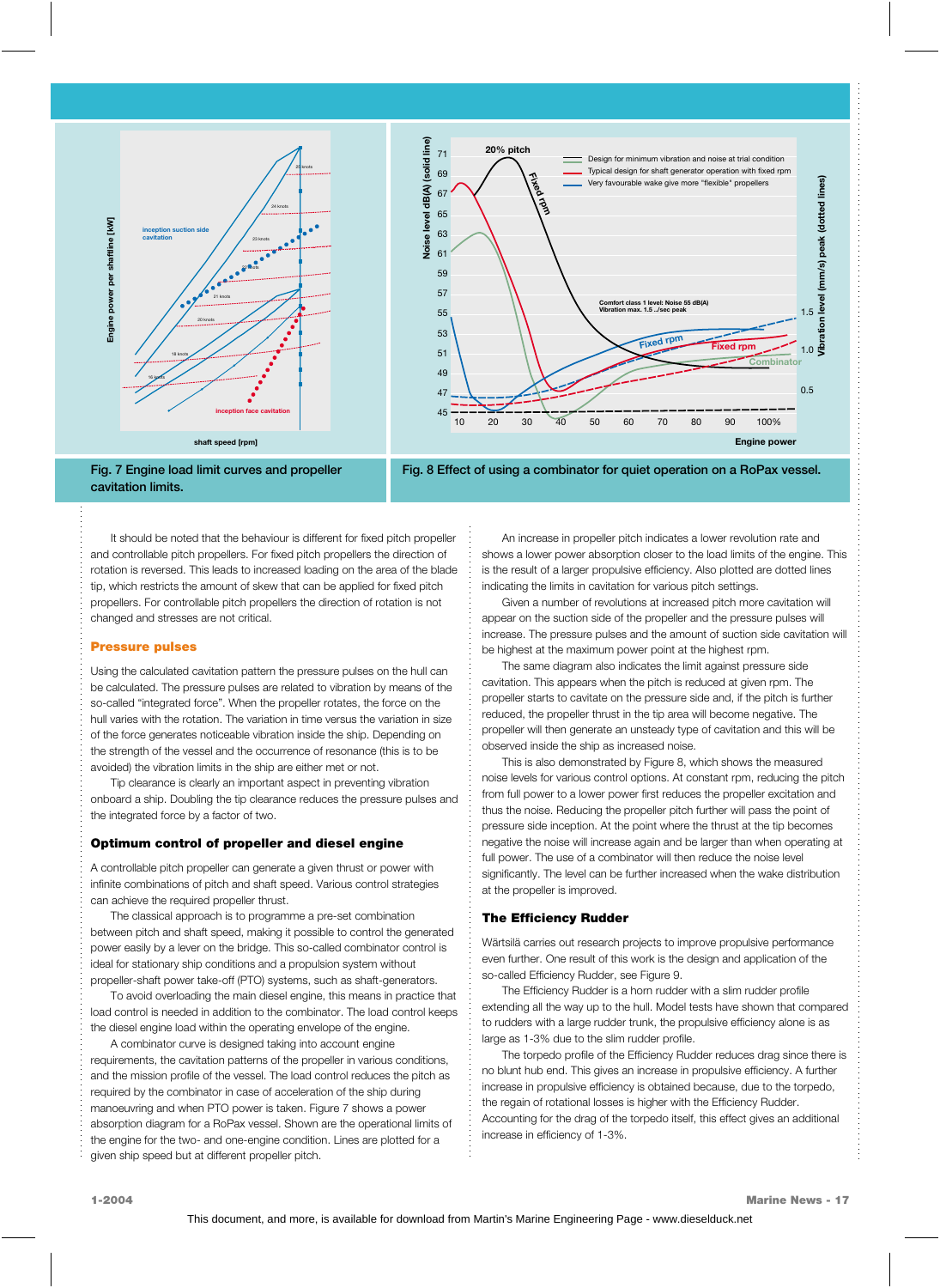





It should be noted that the behaviour is different for fixed pitch propeller and controllable pitch propellers. For fixed pitch propellers the direction of rotation is reversed. This leads to increased loading on the area of the blade tip, which restricts the amount of skew that can be applied for fixed pitch propellers. For controllable pitch propellers the direction of rotation is not changed and stresses are not critical.

#### **Pressure pulses**

Using the calculated cavitation pattern the pressure pulses on the hull can be calculated. The pressure pulses are related to vibration by means of the so-called "integrated force". When the propeller rotates, the force on the hull varies with the rotation. The variation in time versus the variation in size of the force generates noticeable vibration inside the ship. Depending on the strength of the vessel and the occurrence of resonance (this is to be avoided) the vibration limits in the ship are either met or not.

Tip clearance is clearly an important aspect in preventing vibration onboard a ship. Doubling the tip clearance reduces the pressure pulses and the integrated force by a factor of two.

#### **Optimum control of propeller and diesel engine**

A controllable pitch propeller can generate a given thrust or power with infinite combinations of pitch and shaft speed. Various control strategies can achieve the required propeller thrust.

The classical approach is to programme a pre-set combination between pitch and shaft speed, making it possible to control the generated power easily by a lever on the bridge. This so-called combinator control is ideal for stationary ship conditions and a propulsion system without propeller-shaft power take-off (PTO) systems, such as shaft-generators.

To avoid overloading the main diesel engine, this means in practice that load control is needed in addition to the combinator. The load control keeps the diesel engine load within the operating envelope of the engine.

A combinator curve is designed taking into account engine requirements, the cavitation patterns of the propeller in various conditions, and the mission profile of the vessel. The load control reduces the pitch as required by the combinator in case of acceleration of the ship during manoeuvring and when PTO power is taken. Figure 7 shows a power absorption diagram for a RoPax vessel. Shown are the operational limits of the engine for the two- and one-engine condition. Lines are plotted for a given ship speed but at different propeller pitch.

An increase in propeller pitch indicates a lower revolution rate and shows a lower power absorption closer to the load limits of the engine. This is the result of a larger propulsive efficiency. Also plotted are dotted lines indicating the limits in cavitation for various pitch settings.

Given a number of revolutions at increased pitch more cavitation will appear on the suction side of the propeller and the pressure pulses will increase. The pressure pulses and the amount of suction side cavitation will be highest at the maximum power point at the highest rpm.

The same diagram also indicates the limit against pressure side cavitation. This appears when the pitch is reduced at given rpm. The propeller starts to cavitate on the pressure side and, if the pitch is further reduced, the propeller thrust in the tip area will become negative. The propeller will then generate an unsteady type of cavitation and this will be observed inside the ship as increased noise.

This is also demonstrated by Figure 8, which shows the measured noise levels for various control options. At constant rpm, reducing the pitch from full power to a lower power first reduces the propeller excitation and thus the noise. Reducing the propeller pitch further will pass the point of pressure side inception. At the point where the thrust at the tip becomes negative the noise will increase again and be larger than when operating at full power. The use of a combinator will then reduce the noise level significantly. The level can be further increased when the wake distribution at the propeller is improved.

#### **The Efficiency Rudder**

Wärtsilä carries out research projects to improve propulsive performance even further. One result of this work is the design and application of the so-called Efficiency Rudder, see Figure 9.

The Efficiency Rudder is a horn rudder with a slim rudder profile extending all the way up to the hull. Model tests have shown that compared to rudders with a large rudder trunk, the propulsive efficiency alone is as large as 1-3% due to the slim rudder profile.

The torpedo profile of the Efficiency Rudder reduces drag since there is no blunt hub end. This gives an increase in propulsive efficiency. A further increase in propulsive efficiency is obtained because, due to the torpedo, the regain of rotational losses is higher with the Efficiency Rudder. Accounting for the drag of the torpedo itself, this effect gives an additional increase in efficiency of 1-3%.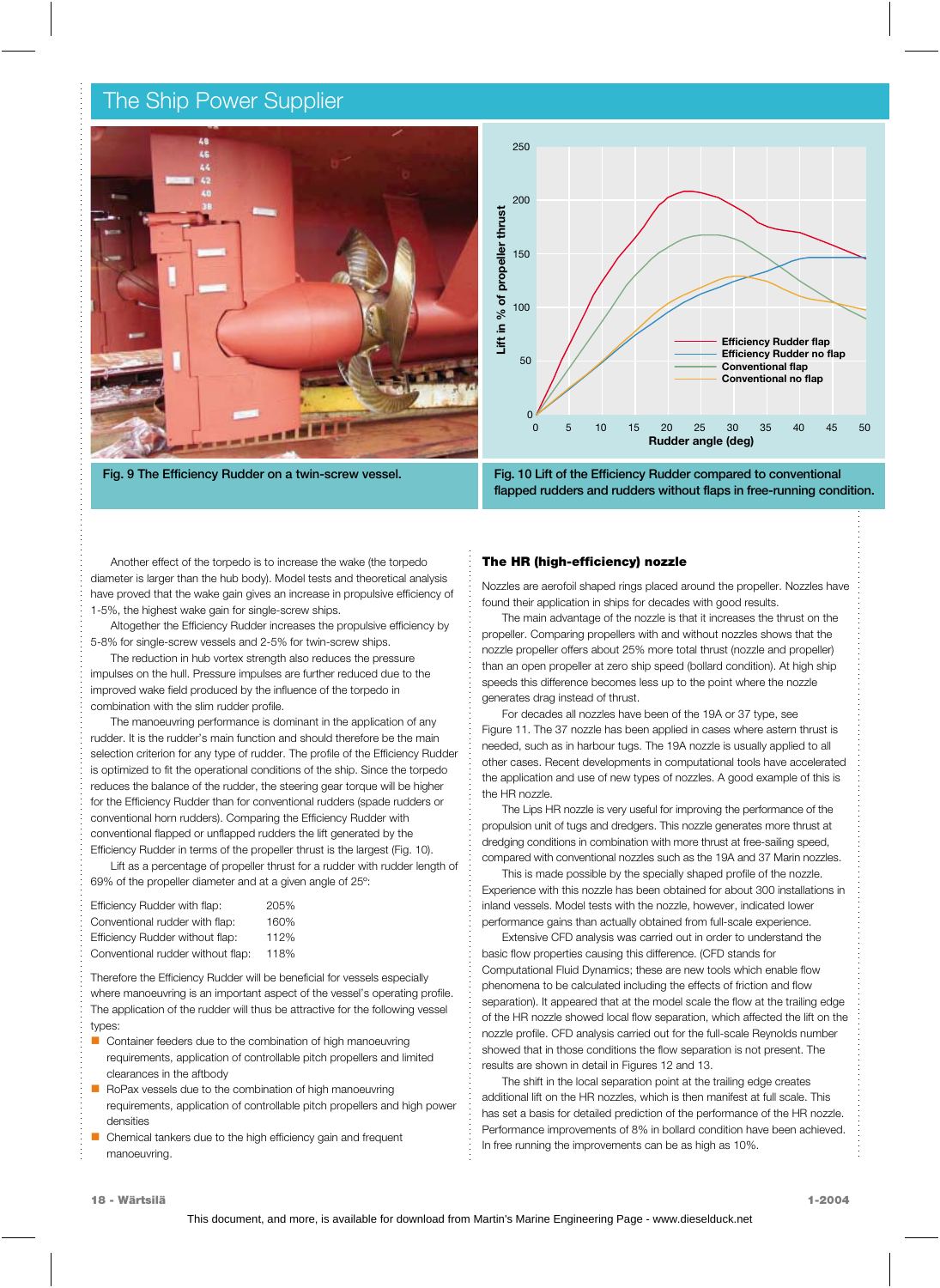## The Ship Power Supplier



**Fig. 9 The Efficiency Rudder on a twin-screw vessel.**



**Fig. 10 Lift of the Efficiency Rudder compared to conventional flapped rudders and rudders without flaps in free-running condition.**

Another effect of the torpedo is to increase the wake (the torpedo diameter is larger than the hub body). Model tests and theoretical analysis have proved that the wake gain gives an increase in propulsive efficiency of 1-5%, the highest wake gain for single-screw ships.

Altogether the Efficiency Rudder increases the propulsive efficiency by 5-8% for single-screw vessels and 2-5% for twin-screw ships.

The reduction in hub vortex strength also reduces the pressure impulses on the hull. Pressure impulses are further reduced due to the improved wake field produced by the influence of the torpedo in combination with the slim rudder profile.

The manoeuvring performance is dominant in the application of any rudder. It is the rudder's main function and should therefore be the main selection criterion for any type of rudder. The profile of the Efficiency Rudder is optimized to fit the operational conditions of the ship. Since the torpedo reduces the balance of the rudder, the steering gear torque will be higher for the Efficiency Rudder than for conventional rudders (spade rudders or conventional horn rudders). Comparing the Efficiency Rudder with conventional flapped or unflapped rudders the lift generated by the Efficiency Rudder in terms of the propeller thrust is the largest (Fig. 10).

Lift as a percentage of propeller thrust for a rudder with rudder length of 69% of the propeller diameter and at a given angle of 25º:

| Efficiency Rudder with flap:      | 205% |
|-----------------------------------|------|
| Conventional rudder with flap:    | 160% |
| Efficiency Rudder without flap:   | 112% |
| Conventional rudder without flap: | 118% |

Therefore the Efficiency Rudder will be beneficial for vessels especially where manoeuvring is an important aspect of the vessel's operating profile. The application of the rudder will thus be attractive for the following vessel types:

- Container feeders due to the combination of high manoeuvring requirements, application of controllable pitch propellers and limited clearances in the aftbody
- ä, RoPax vessels due to the combination of high manoeuvring requirements, application of controllable pitch propellers and high power densities
- ä, Chemical tankers due to the high efficiency gain and frequent manoeuvring.

#### **The HR (high-efficiency) nozzle**

Nozzles are aerofoil shaped rings placed around the propeller. Nozzles have found their application in ships for decades with good results.

The main advantage of the nozzle is that it increases the thrust on the propeller. Comparing propellers with and without nozzles shows that the nozzle propeller offers about 25% more total thrust (nozzle and propeller) than an open propeller at zero ship speed (bollard condition). At high ship speeds this difference becomes less up to the point where the nozzle generates drag instead of thrust.

For decades all nozzles have been of the 19A or 37 type, see Figure 11. The 37 nozzle has been applied in cases where astern thrust is needed, such as in harbour tugs. The 19A nozzle is usually applied to all other cases. Recent developments in computational tools have accelerated the application and use of new types of nozzles. A good example of this is the HR nozzle.

The Lips HR nozzle is very useful for improving the performance of the propulsion unit of tugs and dredgers. This nozzle generates more thrust at dredging conditions in combination with more thrust at free-sailing speed, compared with conventional nozzles such as the 19A and 37 Marin nozzles.

This is made possible by the specially shaped profile of the nozzle. Experience with this nozzle has been obtained for about 300 installations in inland vessels. Model tests with the nozzle, however, indicated lower performance gains than actually obtained from full-scale experience.

Extensive CFD analysis was carried out in order to understand the basic flow properties causing this difference. (CFD stands for Computational Fluid Dynamics; these are new tools which enable flow phenomena to be calculated including the effects of friction and flow separation). It appeared that at the model scale the flow at the trailing edge of the HR nozzle showed local flow separation, which affected the lift on the nozzle profile. CFD analysis carried out for the full-scale Reynolds number showed that in those conditions the flow separation is not present. The results are shown in detail in Figures 12 and 13.

The shift in the local separation point at the trailing edge creates additional lift on the HR nozzles, which is then manifest at full scale. This has set a basis for detailed prediction of the performance of the HR nozzle. Performance improvements of 8% in bollard condition have been achieved. In free running the improvements can be as high as 10%.